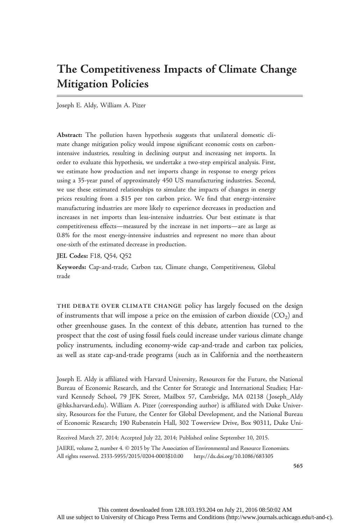# The Competitiveness Impacts of Climate Change Mitigation Policies

Joseph E. Aldy, William A. Pizer

Abstract: The pollution haven hypothesis suggests that unilateral domestic climate change mitigation policy would impose significant economic costs on carbonintensive industries, resulting in declining output and increasing net imports. In order to evaluate this hypothesis, we undertake a two-step empirical analysis. First, we estimate how production and net imports change in response to energy prices using a 35-year panel of approximately 450 US manufacturing industries. Second, we use these estimated relationships to simulate the impacts of changes in energy prices resulting from a \$15 per ton carbon price. We find that energy-intensive manufacturing industries are more likely to experience decreases in production and increases in net imports than less-intensive industries. Our best estimate is that competitiveness effects—measured by the increase in net imports—are as large as 0.8% for the most energy-intensive industries and represent no more than about one-sixth of the estimated decrease in production.

JEL Codes: F18, Q54, Q52

Keywords: Cap-and-trade, Carbon tax, Climate change, Competitiveness, Global trade

THE DEBATE OVER CLIMATE CHANGE policy has largely focused on the design of instruments that will impose a price on the emission of carbon dioxide  $(CO<sub>2</sub>)$  and other greenhouse gases. In the context of this debate, attention has turned to the prospect that the cost of using fossil fuels could increase under various climate change policy instruments, including economy-wide cap-and-trade and carbon tax policies, as well as state cap-and-trade programs (such as in California and the northeastern

Joseph E. Aldy is affiliated with Harvard University, Resources for the Future, the National Bureau of Economic Research, and the Center for Strategic and International Studies; Harvard Kennedy School, 79 JFK Street, Mailbox 57, Cambridge, MA 02138 ( Joseph\_Aldy @hks.harvard.edu). William A. Pizer (corresponding author) is affiliated with Duke University, Resources for the Future, the Center for Global Development, and the National Bureau of Economic Research; 190 Rubenstein Hall, 302 Towerview Drive, Box 90311, Duke Uni-

Received March 27, 2014; Accepted July 22, 2014; Published online September 10, 2015.

JAERE, volume 2, number 4. © 2015 by The Association of Environmental and Resource Economists. All rights reserved. 2333-5955/2015/0204-0003\$10.00 http://dx.doi.org/10.1086/683305

565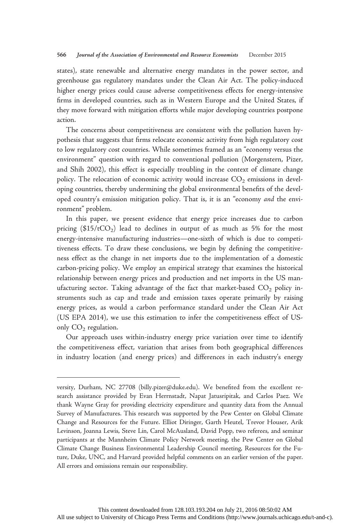states), state renewable and alternative energy mandates in the power sector, and greenhouse gas regulatory mandates under the Clean Air Act. The policy-induced higher energy prices could cause adverse competitiveness effects for energy-intensive firms in developed countries, such as in Western Europe and the United States, if they move forward with mitigation efforts while major developing countries postpone action.

The concerns about competitiveness are consistent with the pollution haven hypothesis that suggests that firms relocate economic activity from high regulatory cost to low regulatory cost countries. While sometimes framed as an "economy versus the environment" question with regard to conventional pollution (Morgenstern, Pizer, and Shih 2002), this effect is especially troubling in the context of climate change policy. The relocation of economic activity would increase  $CO<sub>2</sub>$  emissions in developing countries, thereby undermining the global environmental benefits of the developed country's emission mitigation policy. That is, it is an "economy and the environment" problem.

In this paper, we present evidence that energy price increases due to carbon pricing  $($15/tCO<sub>2</sub>)$  lead to declines in output of as much as 5% for the most energy-intensive manufacturing industries—one-sixth of which is due to competitiveness effects. To draw these conclusions, we begin by defining the competitiveness effect as the change in net imports due to the implementation of a domestic carbon-pricing policy. We employ an empirical strategy that examines the historical relationship between energy prices and production and net imports in the US manufacturing sector. Taking advantage of the fact that market-based  $CO<sub>2</sub>$  policy instruments such as cap and trade and emission taxes operate primarily by raising energy prices, as would a carbon performance standard under the Clean Air Act (US EPA 2014), we use this estimation to infer the competitiveness effect of USonly  $CO<sub>2</sub>$  regulation.

Our approach uses within-industry energy price variation over time to identify the competitiveness effect, variation that arises from both geographical differences in industry location (and energy prices) and differences in each industry's energy

versity, Durham, NC 27708 (billy.pizer@duke.edu). We benefited from the excellent research assistance provided by Evan Herrnstadt, Napat Jatusripitak, and Carlos Paez. We thank Wayne Gray for providing electricity expenditure and quantity data from the Annual Survey of Manufactures. This research was supported by the Pew Center on Global Climate Change and Resources for the Future. Elliot Diringer, Garth Heutel, Trevor Houser, Arik Levinson, Joanna Lewis, Steve Lin, Carol McAusland, David Popp, two referees, and seminar participants at the Mannheim Climate Policy Network meeting, the Pew Center on Global Climate Change Business Environmental Leadership Council meeting, Resources for the Future, Duke, UNC, and Harvard provided helpful comments on an earlier version of the paper. All errors and omissions remain our responsibility.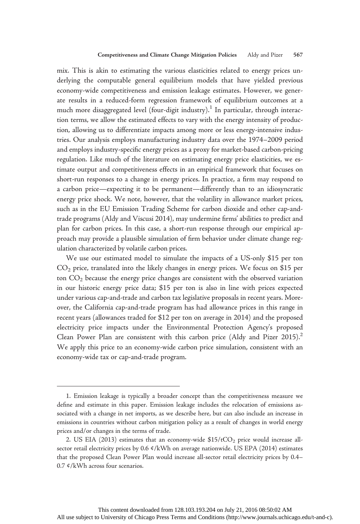mix. This is akin to estimating the various elasticities related to energy prices underlying the computable general equilibrium models that have yielded previous economy-wide competitiveness and emission leakage estimates. However, we generate results in a reduced-form regression framework of equilibrium outcomes at a much more disaggregated level (four-digit industry).<sup>1</sup> In particular, through interaction terms, we allow the estimated effects to vary with the energy intensity of production, allowing us to differentiate impacts among more or less energy-intensive industries. Our analysis employs manufacturing industry data over the 1974–2009 period and employs industry-specific energy prices as a proxy for market-based carbon-pricing regulation. Like much of the literature on estimating energy price elasticities, we estimate output and competitiveness effects in an empirical framework that focuses on short-run responses to a change in energy prices. In practice, a firm may respond to a carbon price—expecting it to be permanent—differently than to an idiosyncratic energy price shock. We note, however, that the volatility in allowance market prices, such as in the EU Emission Trading Scheme for carbon dioxide and other cap-andtrade programs (Aldy and Viscusi 2014), may undermine firms' abilities to predict and plan for carbon prices. In this case, a short-run response through our empirical approach may provide a plausible simulation of firm behavior under climate change regulation characterized by volatile carbon prices.

We use our estimated model to simulate the impacts of a US-only \$15 per ton  $CO<sub>2</sub>$  price, translated into the likely changes in energy prices. We focus on \$15 per ton  $CO<sub>2</sub>$  because the energy price changes are consistent with the observed variation in our historic energy price data; \$15 per ton is also in line with prices expected under various cap-and-trade and carbon tax legislative proposals in recent years. Moreover, the California cap-and-trade program has had allowance prices in this range in recent years (allowances traded for \$12 per ton on average in 2014) and the proposed electricity price impacts under the Environmental Protection Agency's proposed Clean Power Plan are consistent with this carbon price (Aldy and Pizer 2015).<sup>2</sup> We apply this price to an economy-wide carbon price simulation, consistent with an economy-wide tax or cap-and-trade program.

<sup>1.</sup> Emission leakage is typically a broader concept than the competitiveness measure we define and estimate in this paper. Emission leakage includes the relocation of emissions associated with a change in net imports, as we describe here, but can also include an increase in emissions in countries without carbon mitigation policy as a result of changes in world energy prices and/or changes in the terms of trade.

<sup>2.</sup> US EIA (2013) estimates that an economy-wide  $$15/tCO<sub>2</sub>$  price would increase allsector retail electricity prices by 0.6 ¢/kWh on average nationwide. US EPA (2014) estimates that the proposed Clean Power Plan would increase all-sector retail electricity prices by 0.4– 0.7 ¢/kWh across four scenarios.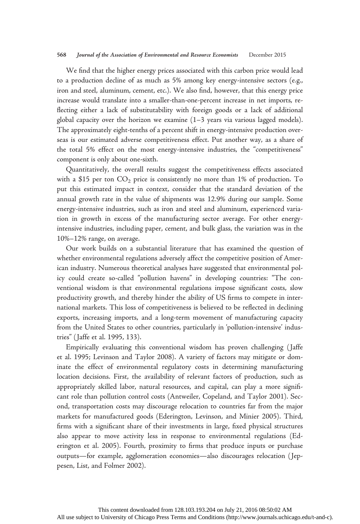### 568 Journal of the Association of Environmental and Resource Economists December 2015

We find that the higher energy prices associated with this carbon price would lead to a production decline of as much as 5% among key energy-intensive sectors (e.g., iron and steel, aluminum, cement, etc.). We also find, however, that this energy price increase would translate into a smaller-than-one-percent increase in net imports, reflecting either a lack of substitutability with foreign goods or a lack of additional global capacity over the horizon we examine (1–3 years via various lagged models). The approximately eight-tenths of a percent shift in energy-intensive production overseas is our estimated adverse competitiveness effect. Put another way, as a share of the total 5% effect on the most energy-intensive industries, the "competitiveness" component is only about one-sixth.

Quantitatively, the overall results suggest the competitiveness effects associated with a \$15 per ton  $CO_2$  price is consistently no more than 1% of production. To put this estimated impact in context, consider that the standard deviation of the annual growth rate in the value of shipments was 12.9% during our sample. Some energy-intensive industries, such as iron and steel and aluminum, experienced variation in growth in excess of the manufacturing sector average. For other energyintensive industries, including paper, cement, and bulk glass, the variation was in the 10%–12% range, on average.

Our work builds on a substantial literature that has examined the question of whether environmental regulations adversely affect the competitive position of American industry. Numerous theoretical analyses have suggested that environmental policy could create so-called "pollution havens" in developing countries: "The conventional wisdom is that environmental regulations impose significant costs, slow productivity growth, and thereby hinder the ability of US firms to compete in international markets. This loss of competitiveness is believed to be reflected in declining exports, increasing imports, and a long-term movement of manufacturing capacity from the United States to other countries, particularly in 'pollution-intensive' industries" ( Jaffe et al. 1995, 133).

Empirically evaluating this conventional wisdom has proven challenging ( Jaffe et al. 1995; Levinson and Taylor 2008). A variety of factors may mitigate or dominate the effect of environmental regulatory costs in determining manufacturing location decisions. First, the availability of relevant factors of production, such as appropriately skilled labor, natural resources, and capital, can play a more significant role than pollution control costs (Antweiler, Copeland, and Taylor 2001). Second, transportation costs may discourage relocation to countries far from the major markets for manufactured goods (Ederington, Levinson, and Minier 2005). Third, firms with a significant share of their investments in large, fixed physical structures also appear to move activity less in response to environmental regulations (Ederington et al. 2005). Fourth, proximity to firms that produce inputs or purchase outputs—for example, agglomeration economies—also discourages relocation ( Jeppesen, List, and Folmer 2002).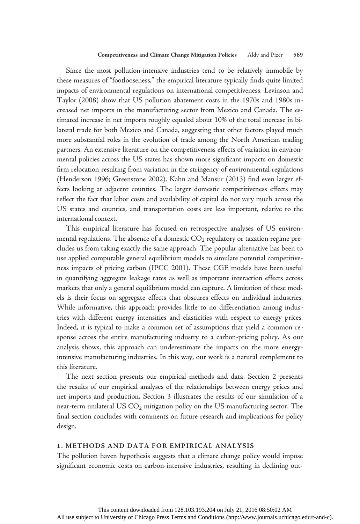Since the most pollution-intensive industries tend to be relatively immobile by these measures of "footlooseness," the empirical literature typically finds quite limited impacts of environmental regulations on international competitiveness. Levinson and Taylor (2008) show that US pollution abatement costs in the 1970s and 1980s increased net imports in the manufacturing sector from Mexico and Canada. The estimated increase in net imports roughly equaled about 10% of the total increase in bilateral trade for both Mexico and Canada, suggesting that other factors played much more substantial roles in the evolution of trade among the North American trading partners. An extensive literature on the competitiveness effects of variation in environmental policies across the US states has shown more significant impacts on domestic firm relocation resulting from variation in the stringency of environmental regulations (Henderson 1996; Greenstone 2002). Kahn and Mansur (2013) find even larger effects looking at adjacent counties. The larger domestic competitiveness effects may reflect the fact that labor costs and availability of capital do not vary much across the US states and counties, and transportation costs are less important, relative to the international context.

This empirical literature has focused on retrospective analyses of US environmental regulations. The absence of a domestic  $CO<sub>2</sub>$  regulatory or taxation regime precludes us from taking exactly the same approach. The popular alternative has been to use applied computable general equilibrium models to simulate potential competitiveness impacts of pricing carbon (IPCC 2001). These CGE models have been useful in quantifying aggregate leakage rates as well as important interaction effects across markets that only a general equilibrium model can capture. A limitation of these models is their focus on aggregate effects that obscures effects on individual industries. While informative, this approach provides little to no differentiation among industries with different energy intensities and elasticities with respect to energy prices. Indeed, it is typical to make a common set of assumptions that yield a common response across the entire manufacturing industry to a carbon-pricing policy. As our analysis shows, this approach can underestimate the impacts on the more energyintensive manufacturing industries. In this way, our work is a natural complement to this literature.

The next section presents our empirical methods and data. Section 2 presents the results of our empirical analyses of the relationships between energy prices and net imports and production. Section 3 illustrates the results of our simulation of a near-term unilateral US  $CO<sub>2</sub>$  mitigation policy on the US manufacturing sector. The final section concludes with comments on future research and implications for policy design.

### 1. METHODS AND DATA FOR EMPIRICAL ANALYSIS

The pollution haven hypothesis suggests that a climate change policy would impose significant economic costs on carbon-intensive industries, resulting in declining out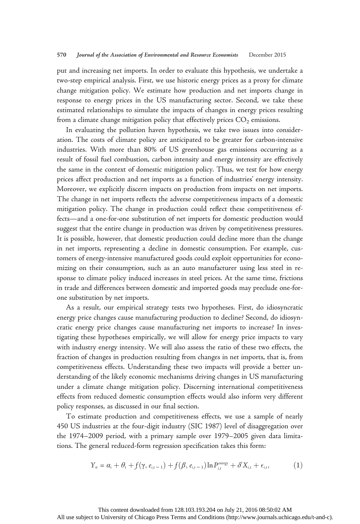put and increasing net imports. In order to evaluate this hypothesis, we undertake a two-step empirical analysis. First, we use historic energy prices as a proxy for climate change mitigation policy. We estimate how production and net imports change in response to energy prices in the US manufacturing sector. Second, we take these estimated relationships to simulate the impacts of changes in energy prices resulting from a climate change mitigation policy that effectively prices  $CO<sub>2</sub>$  emissions.

In evaluating the pollution haven hypothesis, we take two issues into consideration. The costs of climate policy are anticipated to be greater for carbon-intensive industries. With more than 80% of US greenhouse gas emissions occurring as a result of fossil fuel combustion, carbon intensity and energy intensity are effectively the same in the context of domestic mitigation policy. Thus, we test for how energy prices affect production and net imports as a function of industries' energy intensity. Moreover, we explicitly discern impacts on production from impacts on net imports. The change in net imports reflects the adverse competitiveness impacts of a domestic mitigation policy. The change in production could reflect these competitiveness effects—and a one-for-one substitution of net imports for domestic production would suggest that the entire change in production was driven by competitiveness pressures. It is possible, however, that domestic production could decline more than the change in net imports, representing a decline in domestic consumption. For example, customers of energy-intensive manufactured goods could exploit opportunities for economizing on their consumption, such as an auto manufacturer using less steel in response to climate policy induced increases in steel prices. At the same time, frictions in trade and differences between domestic and imported goods may preclude one-forone substitution by net imports.

As a result, our empirical strategy tests two hypotheses. First, do idiosyncratic energy price changes cause manufacturing production to decline? Second, do idiosyncratic energy price changes cause manufacturing net imports to increase? In investigating these hypotheses empirically, we will allow for energy price impacts to vary with industry energy intensity. We will also assess the ratio of these two effects, the fraction of changes in production resulting from changes in net imports, that is, from competitiveness effects. Understanding these two impacts will provide a better understanding of the likely economic mechanisms driving changes in US manufacturing under a climate change mitigation policy. Discerning international competitiveness effects from reduced domestic consumption effects would also inform very different policy responses, as discussed in our final section.

To estimate production and competitiveness effects, we use a sample of nearly 450 US industries at the four-digit industry (SIC 1987) level of disaggregation over the 1974–2009 period, with a primary sample over 1979–2005 given data limitations. The general reduced-form regression specification takes this form:

$$
Y_{it} = \alpha_i + \theta_t + f(\gamma, e_{i,t-1}) + f(\beta, e_{i,t-1}) \ln P_{i,t}^{energy} + \delta' X_{i,t} + \epsilon_{i,t},
$$
 (1)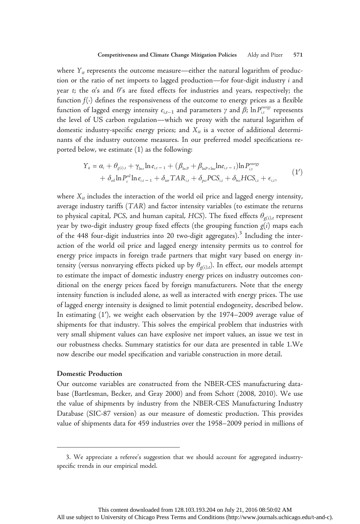where  $Y_{it}$  represents the outcome measure—either the natural logarithm of production or the ratio of net imports to lagged production—for four-digit industry i and year t; the  $\alpha$ 's and  $\theta$ 's are fixed effects for industries and years, respectively; the function  $f(.)$  defines the responsiveness of the outcome to energy prices as a flexible function of lagged energy intensity  $e_{i,t-1}$  and parameters  $\gamma$  and  $\beta$ ;  $\ln P_{i,t}^{energy}$  represents the level of US carbon regulation—which we proxy with the natural logarithm of domestic industry-specific energy prices; and  $X_{it}$  is a vector of additional determinants of the industry outcome measures. In our preferred model specifications reported below, we estimate (1) as the following:

$$
Y_{it} = \alpha_i + \theta_{g(i),t} + \gamma_{\text{ln}e} \ln e_{i,t-1} + (\beta_{\text{ln}P} + \beta_{\text{ln}P \times \text{ln}e} \ln e_{i,t-1}) \ln P_{i,t}^{\text{energy}} + \delta_{\text{oil}} \ln P_{t}^{\text{oil}} \ln e_{i,t-1} + \delta_{\text{tar}} TAR_{i,t} + \delta_{\text{ps}} PCS_{i,t} + \delta_{\text{bs}} HCS_{i,t} + \epsilon_{i,t},
$$
(1')

where  $X_{it}$  includes the interaction of the world oil price and lagged energy intensity, average industry tariffs (TAR) and factor intensity variables (to estimate the returns to physical capital, PCS, and human capital, HCS). The fixed effects  $\theta_{\sigma(i),t}$  represent year by two-digit industry group fixed effects (the grouping function  $g(i)$  maps each of the 448 four-digit industries into 20 two-digit aggregates).<sup>3</sup> Including the interaction of the world oil price and lagged energy intensity permits us to control for energy price impacts in foreign trade partners that might vary based on energy intensity (versus nonvarying effects picked up by  $\theta_{g(i),t}$ ). In effect, our models attempt to estimate the impact of domestic industry energy prices on industry outcomes conditional on the energy prices faced by foreign manufacturers. Note that the energy intensity function is included alone, as well as interacted with energy prices. The use of lagged energy intensity is designed to limit potential endogeneity, described below. In estimating (1′), we weight each observation by the 1974–2009 average value of shipments for that industry. This solves the empirical problem that industries with very small shipment values can have explosive net import values, an issue we test in our robustness checks. Summary statistics for our data are presented in table 1.We now describe our model specification and variable construction in more detail.

### Domestic Production

Our outcome variables are constructed from the NBER-CES manufacturing database (Bartlesman, Becker, and Gray 2000) and from Schott (2008, 2010). We use the value of shipments by industry from the NBER-CES Manufacturing Industry Database (SIC-87 version) as our measure of domestic production. This provides value of shipments data for 459 industries over the 1958–2009 period in millions of

<sup>3.</sup> We appreciate a referee's suggestion that we should account for aggregated industryspecific trends in our empirical model.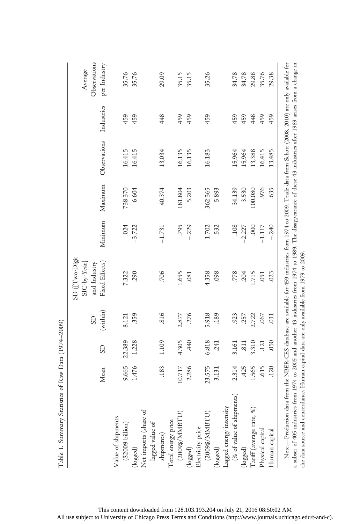|                                                        |        |           | GS       | SD (Two-Digit<br>SIC-by-Year]<br>and Industry |             |         |              |            | Observations<br>Average |
|--------------------------------------------------------|--------|-----------|----------|-----------------------------------------------|-------------|---------|--------------|------------|-------------------------|
|                                                        | Mean   | <b>GS</b> | (within) | Fixed Effects)                                | Minimum     | Maximum | Observations | Industries | per Industry            |
| Value of shipments<br>$(\$2009~\mathrm{billion})$      | 9.665  | 22.389    | 8.121    | 7.322                                         | .024        | 738.370 | 16,415       | 459        | 35.76                   |
| (logged)                                               | 1.476  | 1.228     | 359      | .290                                          | $-3.722$    | 6.604   | 16,415       | 459        | 35.76                   |
| Net imports (share of<br>lagged value of<br>shipments) |        |           |          |                                               |             |         |              |            |                         |
|                                                        |        |           |          |                                               |             |         |              |            |                         |
|                                                        | .183   | 1.109     | 816      | .706                                          | $-1.731$    | 40.374  | 13,034       | 448        | 29.09                   |
| Total energy price<br>(2009\$/MMBTU)                   |        |           |          |                                               |             |         |              |            |                         |
|                                                        | 10.717 | 4.305     | 2.877    | 1.655                                         | .795        | 181.804 | 16,135       | 459        | 35.15                   |
| (logged)                                               | 2.286  | 440       | 276      | .081                                          | $-.229$     | 5.203   | 16,135       | 459        | 35.15                   |
| Electricity price                                      |        |           |          |                                               |             |         |              |            |                         |
| $(2009\$ /MMBTU)                                       | 23.575 | 6.818     | 5.918    | 4.358                                         | 1.702       | 362.365 | 16,183       | 459        | 35.26                   |
| (logged)                                               | 3.131  | 241       | 189      | .098                                          | 532         | 5.893   |              |            |                         |
|                                                        |        |           |          |                                               |             |         |              |            |                         |
| Lagged energy intensity $(% )$ of value of shipments)  | 2.314  | 3.161     | 923      | .778                                          | 108         | 34.139  | 15,964       | 459        | 34.78                   |
| (logged)                                               | ,425   | .811      | 257      | .204                                          | $-2.227$    | 3.530   | 15,964       | 459        | 34.78                   |
| Tariff (average rate, %)                               | 1.565  | 3.310     | 2.722    | 1.715                                         | <b>000.</b> | 100.080 | 13,388       | 448        | 29.88                   |
| Physical capital                                       | 615    | .121      | .067     | .051                                          | $-1.117$    | 976     | 16,415       | 459        | 35.76                   |
| Human capital                                          | 120    | .050      | 031      | .023                                          | $-.240$     | .635    | 13,485       | 459        | 29.38                   |

the data source and concordance. Human capital data are only available from 1979 to 2009.

the data source and concordance. Human capital data are only available from 1979 to 2009.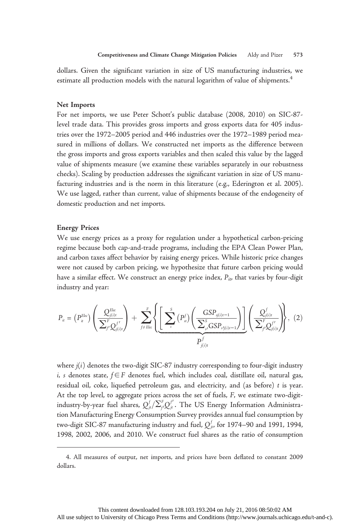dollars. Given the significant variation in size of US manufacturing industries, we estimate all production models with the natural logarithm of value of shipments.<sup>4</sup>

### Net Imports

For net imports, we use Peter Schott's public database (2008, 2010) on SIC-87 level trade data. This provides gross imports and gross exports data for 405 industries over the 1972–2005 period and 446 industries over the 1972–1989 period measured in millions of dollars. We constructed net imports as the difference between the gross imports and gross exports variables and then scaled this value by the lagged value of shipments measure (we examine these variables separately in our robustness checks). Scaling by production addresses the significant variation in size of US manufacturing industries and is the norm in this literature (e.g., Ederington et al. 2005). We use lagged, rather than current, value of shipments because of the endogeneity of domestic production and net imports.

### Energy Prices

We use energy prices as a proxy for regulation under a hypothetical carbon-pricing regime because both cap-and-trade programs, including the EPA Clean Power Plan, and carbon taxes affect behavior by raising energy prices. While historic price changes were not caused by carbon pricing, we hypothesize that future carbon pricing would have a similar effect. We construct an energy price index,  $P_{i\nu}$  that varies by four-digit industry and year:

$$
P_{it} = (P_{it}^{Elec}) \left( \frac{Q_{j(i)t}^{Elec}}{\sum_{j'}^{F} Q_{j(i)t}^{f'}} \right) + \sum_{j \neq Elec}^{F} \left\{ \underbrace{\left[ \sum_{s}^{S} (P_{st}^{f}) \left( \frac{GSP_{j(i)t-1}}{\sum_{s'}^{S} GSP_{sf(i)t-1}} \right) \right]}_{P_{j(i)t}^{f}} \left( \frac{Q_{j(i)t}^{f}}{\sum_{j'}^{F} Q_{j(i)t}^{f'}} \right) \right\}, (2)
$$

where  $j(i)$  denotes the two-digit SIC-87 industry corresponding to four-digit industry i, s denotes state, f∈F denotes fuel, which includes coal, distillate oil, natural gas, residual oil, coke, liquefied petroleum gas, and electricity, and (as before) t is year. At the top level, to aggregate prices across the set of fuels, F, we estimate two-digitindustry-by-year fuel shares,  $Q_{j\iota}^f/\Sigma_{f'}^FQ_{j\iota}^{f'}$ . The US Energy Information Administration Manufacturing Energy Consumption Survey provides annual fuel consumption by two-digit SIC-87 manufacturing industry and fuel,  $Q^f_{j\prime}$ , for 1974–90 and 1991, 1994, 1998, 2002, 2006, and 2010. We construct fuel shares as the ratio of consumption

<sup>4.</sup> All measures of output, net imports, and prices have been deflated to constant 2009 dollars.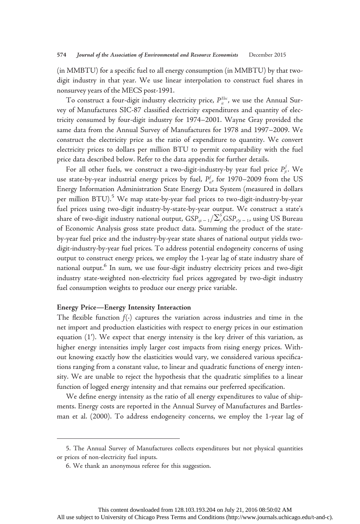(in MMBTU) for a specific fuel to all energy consumption (in MMBTU) by that twodigit industry in that year. We use linear interpolation to construct fuel shares in nonsurvey years of the MECS post-1991.

To construct a four-digit industry electricity price,  $P_{it}^{\text{Elec}}$ , we use the Annual Survey of Manufactures SIC-87 classified electricity expenditures and quantity of electricity consumed by four-digit industry for 1974–2001. Wayne Gray provided the same data from the Annual Survey of Manufactures for 1978 and 1997–2009. We construct the electricity price as the ratio of expenditure to quantity. We convert electricity prices to dollars per million BTU to permit comparability with the fuel price data described below. Refer to the data appendix for further details.

For all other fuels, we construct a two-digit-industry-by year fuel price  $P_{jt}^f$ . We use state-by-year industrial energy prices by fuel,  $P_{st}^{f}$ , for 1970–2009 from the US Energy Information Administration State Energy Data System (measured in dollars per million  $BTU$ <sup>5</sup>. We map state-by-year fuel prices to two-digit-industry-by-year fuel prices using two-digit industry-by-state-by-year output. We construct a state's share of two-digit industry national output,  $\text{GSP}_{\scriptscriptstyle{si}-1}/\Sigma_{\scriptscriptstyle{s}'}^{\scriptscriptstyle{S}}\text{GSP}_{\scriptscriptstyle{sij}-1}$ , using US Bureau of Economic Analysis gross state product data. Summing the product of the stateby-year fuel price and the industry-by-year state shares of national output yields twodigit-industry-by-year fuel prices. To address potential endogeneity concerns of using output to construct energy prices, we employ the 1-year lag of state industry share of national output.<sup>6</sup> In sum, we use four-digit industry electricity prices and two-digit industry state-weighted non-electricity fuel prices aggregated by two-digit industry fuel consumption weights to produce our energy price variable.

### Energy Price—Energy Intensity Interaction

The flexible function  $f(\cdot)$  captures the variation across industries and time in the net import and production elasticities with respect to energy prices in our estimation equation (1′). We expect that energy intensity is the key driver of this variation, as higher energy intensities imply larger cost impacts from rising energy prices. Without knowing exactly how the elasticities would vary, we considered various specifications ranging from a constant value, to linear and quadratic functions of energy intensity. We are unable to reject the hypothesis that the quadratic simplifies to a linear function of logged energy intensity and that remains our preferred specification.

We define energy intensity as the ratio of all energy expenditures to value of shipments. Energy costs are reported in the Annual Survey of Manufactures and Bartlesman et al. (2000). To address endogeneity concerns, we employ the 1-year lag of

<sup>5.</sup> The Annual Survey of Manufactures collects expenditures but not physical quantities or prices of non-electricity fuel inputs.

<sup>6.</sup> We thank an anonymous referee for this suggestion.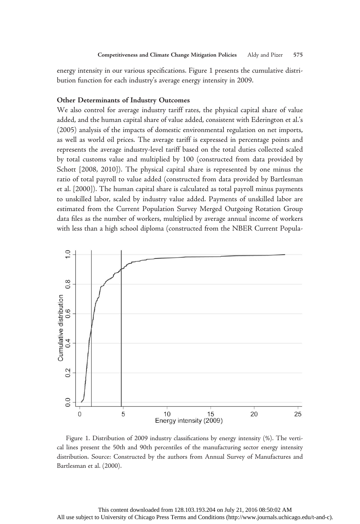energy intensity in our various specifications. Figure 1 presents the cumulative distribution function for each industry's average energy intensity in 2009.

# Other Determinants of Industry Outcomes

We also control for average industry tariff rates, the physical capital share of value added, and the human capital share of value added, consistent with Ederington et al.'s (2005) analysis of the impacts of domestic environmental regulation on net imports, as well as world oil prices. The average tariff is expressed in percentage points and represents the average industry-level tariff based on the total duties collected scaled by total customs value and multiplied by 100 (constructed from data provided by Schott [2008, 2010]). The physical capital share is represented by one minus the ratio of total payroll to value added (constructed from data provided by Bartlesman et al. [2000]). The human capital share is calculated as total payroll minus payments to unskilled labor, scaled by industry value added. Payments of unskilled labor are estimated from the Current Population Survey Merged Outgoing Rotation Group data files as the number of workers, multiplied by average annual income of workers with less than a high school diploma (constructed from the NBER Current Popula-



Figure 1. Distribution of 2009 industry classifications by energy intensity (%). The vertical lines present the 50th and 90th percentiles of the manufacturing sector energy intensity distribution. Source: Constructed by the authors from Annual Survey of Manufactures and Bartlesman et al. (2000).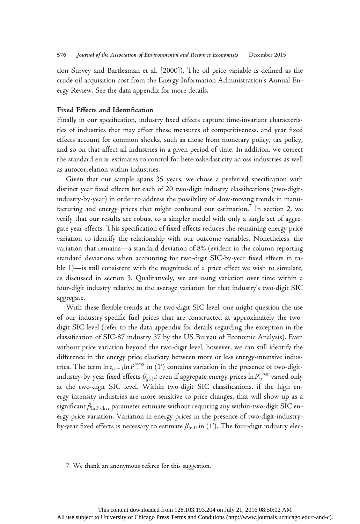tion Survey and Bartlesman et al. [2000]). The oil price variable is defined as the crude oil acquisition cost from the Energy Information Administration's Annual Energy Review. See the data appendix for more details.

### Fixed Effects and Identification

Finally in our specification, industry fixed effects capture time-invariant characteristics of industries that may affect these measures of competitiveness, and year fixed effects account for common shocks, such as those from monetary policy, tax policy, and so on that affect all industries in a given period of time. In addition, we correct the standard error estimates to control for heteroskedasticity across industries as well as autocorrelation within industries.

Given that our sample spans 35 years, we chose a preferred specification with distinct year fixed effects for each of 20 two-digit industry classifications (two-digitindustry-by-year) in order to address the possibility of slow-moving trends in manufacturing and energy prices that might confound our estimation.<sup>7</sup> In section 2, we verify that our results are robust to a simpler model with only a single set of aggregate year effects. This specification of fixed effects reduces the remaining energy price variation to identify the relationship with our outcome variables. Nonetheless, the variation that remains—a standard deviation of 8% (evident in the column reporting standard deviations when accounting for two-digit SIC-by-year fixed effects in table 1)—is still consistent with the magnitude of a price effect we wish to simulate, as discussed in section 3. Qualitatively, we are using variation over time within a four-digit industry relative to the average variation for that industry's two-digit SIC aggregate.

With these flexible trends at the two-digit SIC level, one might question the use of our industry-specific fuel prices that are constructed at approximately the twodigit SIC level (refer to the data appendix for details regarding the exception in the classification of SIC-87 industry 37 by the US Bureau of Economic Analysis). Even without price variation beyond the two-digit level, however, we can still identify the difference in the energy price elasticity between more or less energy-intensive industries. The term  $\ln e_{i,t-1} \ln P_{i,t}^{\text{energy}}$  in  $(1')$  contains variation in the presence of two-digitindustry-by-year fixed effects  $\theta_{g(i)}$ , $t$  even if aggregate energy prices  $\ln P_{i,t}^{energy}$  varied only at the two-digit SIC level. Within two-digit SIC classifications, if the high energy intensity industries are more sensitive to price changes, that will show up as a significant  $\beta_{\ln P \times \ln e}$  parameter estimate without requiring any within-two-digit SIC energy price variation. Variation in energy prices in the presence of two-digit-industryby-year fixed effects is necessary to estimate  $\beta_{\ln P}$  in (1'). The four-digit industry elec-

<sup>7.</sup> We thank an anonymous referee for this suggestion.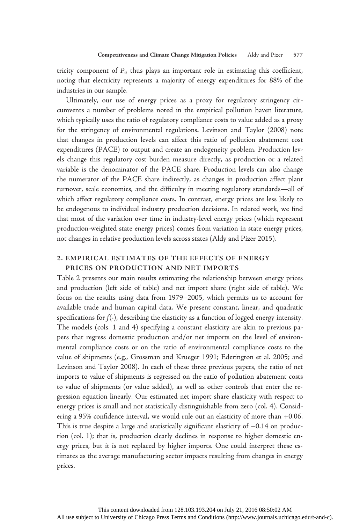tricity component of  $P_{it}$  thus plays an important role in estimating this coefficient, noting that electricity represents a majority of energy expenditures for 88% of the industries in our sample.

Ultimately, our use of energy prices as a proxy for regulatory stringency circumvents a number of problems noted in the empirical pollution haven literature, which typically uses the ratio of regulatory compliance costs to value added as a proxy for the stringency of environmental regulations. Levinson and Taylor (2008) note that changes in production levels can affect this ratio of pollution abatement cost expenditures (PACE) to output and create an endogeneity problem. Production levels change this regulatory cost burden measure directly, as production or a related variable is the denominator of the PACE share. Production levels can also change the numerator of the PACE share indirectly, as changes in production affect plant turnover, scale economies, and the difficulty in meeting regulatory standards—all of which affect regulatory compliance costs. In contrast, energy prices are less likely to be endogenous to individual industry production decisions. In related work, we find that most of the variation over time in industry-level energy prices (which represent production-weighted state energy prices) comes from variation in state energy prices, not changes in relative production levels across states (Aldy and Pizer 2015).

# 2. EMPIRICAL ESTIMATES OF THE EFFECTS OF ENERGY PRICES ON PRODUCTION AND NET IMPORTS

Table 2 presents our main results estimating the relationship between energy prices and production (left side of table) and net import share (right side of table). We focus on the results using data from 1979–2005, which permits us to account for available trade and human capital data. We present constant, linear, and quadratic specifications for  $f(\cdot)$ , describing the elasticity as a function of logged energy intensity. The models (cols. 1 and 4) specifying a constant elasticity are akin to previous papers that regress domestic production and/or net imports on the level of environmental compliance costs or on the ratio of environmental compliance costs to the value of shipments (e.g., Grossman and Krueger 1991; Ederington et al. 2005; and Levinson and Taylor 2008). In each of these three previous papers, the ratio of net imports to value of shipments is regressed on the ratio of pollution abatement costs to value of shipments (or value added), as well as other controls that enter the regression equation linearly. Our estimated net import share elasticity with respect to energy prices is small and not statistically distinguishable from zero (col. 4). Considering a 95% confidence interval, we would rule out an elasticity of more than +0.06. This is true despite a large and statistically significant elasticity of −0.14 on production (col. 1); that is, production clearly declines in response to higher domestic energy prices, but it is not replaced by higher imports. One could interpret these estimates as the average manufacturing sector impacts resulting from changes in energy prices.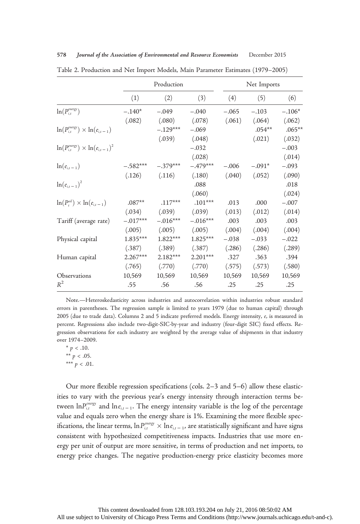|            | Production |            |         |          |             |
|------------|------------|------------|---------|----------|-------------|
| (1)        | (2)        | (3)        | (4)     | (5)      | (6)         |
| $-.140*$   | $-.049$    | $-.040$    | $-.065$ | $-.103$  | $-.106*$    |
| (.082)     | (.080)     | (.078)     | (.061)  | (.064)   | (.062)      |
|            | $-.129***$ | $-.069$    |         | $.054**$ | $.065**$    |
|            | (.039)     | (.048)     |         | (.021)   | (.032)      |
|            |            | $-.032$    |         |          | $-.003$     |
|            |            | (.028)     |         |          | (.014)      |
| $-.582***$ | $-.379***$ | $-.479***$ | $-.006$ | $-.091*$ | $-.093$     |
| (.126)     | (.116)     | (.180)     | (.040)  | (.052)   | (.090)      |
|            |            | .088       |         |          | .018        |
|            |            | (.060)     |         |          | (.024)      |
| $.087**$   | $.117***$  | $.101***$  | .013    | .000     | $-.007$     |
| (.034)     | (.039)     | (.039)     | (.013)  | (.012)   | (.014)      |
| $-.017***$ | $-.016***$ | $-.016***$ | .003    | .003     | .003        |
| (.005)     | (.005)     | (.005)     | (.004)  | (.004)   | (.004)      |
| $1.835***$ | $1.822***$ | $1.825***$ | $-.038$ | $-.033$  | $-.022$     |
| (.387)     | (.389)     | (.387)     | (.286)  | (.286)   | (.289)      |
| $2.267***$ | $2.182***$ | $2.201***$ | .327    | .363     | .394        |
| (.765)     | (.770)     | (.770)     | (.575)  | (.573)   | (.580)      |
| 10,569     | 10,569     | 10,569     | 10,569  | 10,569   | 10,569      |
| .55        | .56        | .56        | .25     | .25      | .25         |
|            |            |            |         |          | Net Imports |

Table 2. Production and Net Import Models, Main Parameter Estimates (1979–2005) 578 Journal of the Association of Environmental and Resource Economists December 2015

Note.—Heteroskedasticity across industries and autocorrelation within industries robust standard errors in parentheses. The regression sample is limited to years 1979 (due to human capital) through 2005 (due to trade data). Columns 2 and 5 indicate preferred models. Energy intensity, e, is measured in percent. Regressions also include two-digit-SIC-by-year and industry (four-digit SIC) fixed effects. Regression observations for each industry are weighted by the average value of shipments in that industry over 1974–2009.

\*  $p < .10$ . \*\*  $p < .05$ . \*\*\*  $p < .01$ .

Our more flexible regression specifications (cols. 2–3 and 5–6) allow these elasticities to vary with the previous year's energy intensity through interaction terms between  $ln P_{i,t}^{energy}$  and  $ln e_{i,t-1}$ . The energy intensity variable is the log of the percentage value and equals zero when the energy share is 1%. Examining the more flexible specifications, the linear terms,  $\ln P_{i,t}^{engy} \times \ln e_{i,t-1}$ , are statistically significant and have signs consistent with hypothesized competitiveness impacts. Industries that use more energy per unit of output are more sensitive, in terms of production and net imports, to energy price changes. The negative production-energy price elasticity becomes more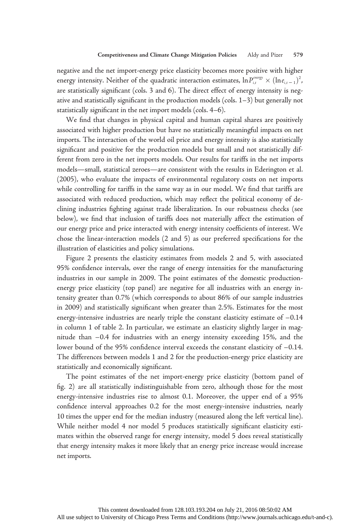negative and the net import-energy price elasticity becomes more positive with higher energy intensity. Neither of the quadratic interaction estimates,  $\ln P_{i,t}^{energy} \times (\ln e_{i,t-1})^2$ , are statistically significant (cols. 3 and 6). The direct effect of energy intensity is negative and statistically significant in the production models (cols. 1–3) but generally not statistically significant in the net import models (cols. 4–6).

We find that changes in physical capital and human capital shares are positively associated with higher production but have no statistically meaningful impacts on net imports. The interaction of the world oil price and energy intensity is also statistically significant and positive for the production models but small and not statistically different from zero in the net imports models. Our results for tariffs in the net imports models—small, statistical zeroes—are consistent with the results in Ederington et al. (2005), who evaluate the impacts of environmental regulatory costs on net imports while controlling for tariffs in the same way as in our model. We find that tariffs are associated with reduced production, which may reflect the political economy of declining industries fighting against trade liberalization. In our robustness checks (see below), we find that inclusion of tariffs does not materially affect the estimation of our energy price and price interacted with energy intensity coefficients of interest. We chose the linear-interaction models (2 and 5) as our preferred specifications for the illustration of elasticities and policy simulations.

Figure 2 presents the elasticity estimates from models 2 and 5, with associated 95% confidence intervals, over the range of energy intensities for the manufacturing industries in our sample in 2009. The point estimates of the domestic productionenergy price elasticity (top panel) are negative for all industries with an energy intensity greater than 0.7% (which corresponds to about 86% of our sample industries in 2009) and statistically significant when greater than 2.5%. Estimates for the most energy-intensive industries are nearly triple the constant elasticity estimate of −0.14 in column 1 of table 2. In particular, we estimate an elasticity slightly larger in magnitude than −0.4 for industries with an energy intensity exceeding 15%, and the lower bound of the 95% confidence interval exceeds the constant elasticity of −0.14. The differences between models 1 and 2 for the production-energy price elasticity are statistically and economically significant.

The point estimates of the net import-energy price elasticity (bottom panel of fig. 2) are all statistically indistinguishable from zero, although those for the most energy-intensive industries rise to almost 0.1. Moreover, the upper end of a 95% confidence interval approaches 0.2 for the most energy-intensive industries, nearly 10 times the upper end for the median industry (measured along the left vertical line). While neither model 4 nor model 5 produces statistically significant elasticity estimates within the observed range for energy intensity, model 5 does reveal statistically that energy intensity makes it more likely that an energy price increase would increase net imports.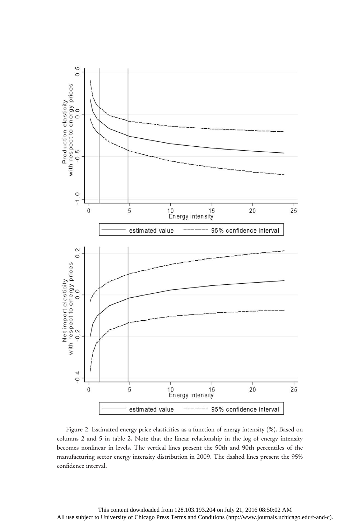

Figure 2. Estimated energy price elasticities as a function of energy intensity (%). Based on columns 2 and 5 in table 2. Note that the linear relationship in the log of energy intensity becomes nonlinear in levels. The vertical lines present the 50th and 90th percentiles of the manufacturing sector energy intensity distribution in 2009. The dashed lines present the 95% confidence interval.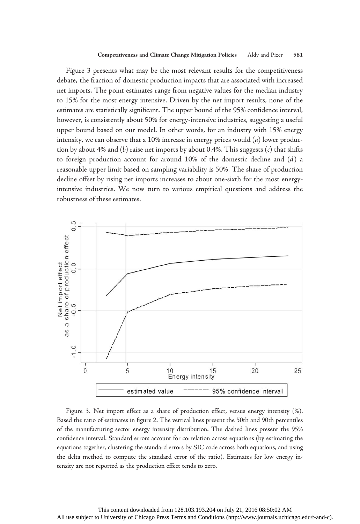Figure 3 presents what may be the most relevant results for the competitiveness debate, the fraction of domestic production impacts that are associated with increased net imports. The point estimates range from negative values for the median industry to 15% for the most energy intensive. Driven by the net import results, none of the estimates are statistically significant. The upper bound of the 95% confidence interval, however, is consistently about 50% for energy-intensive industries, suggesting a useful upper bound based on our model. In other words, for an industry with 15% energy intensity, we can observe that a 10% increase in energy prices would (a) lower production by about 4% and  $(b)$  raise net imports by about 0.4%. This suggests  $(c)$  that shifts to foreign production account for around 10% of the domestic decline and (d) a reasonable upper limit based on sampling variability is 50%. The share of production decline offset by rising net imports increases to about one-sixth for the most energyintensive industries. We now turn to various empirical questions and address the robustness of these estimates.



Figure 3. Net import effect as a share of production effect, versus energy intensity (%). Based the ratio of estimates in figure 2. The vertical lines present the 50th and 90th percentiles of the manufacturing sector energy intensity distribution. The dashed lines present the 95% confidence interval. Standard errors account for correlation across equations (by estimating the equations together, clustering the standard errors by SIC code across both equations, and using the delta method to compute the standard error of the ratio). Estimates for low energy intensity are not reported as the production effect tends to zero.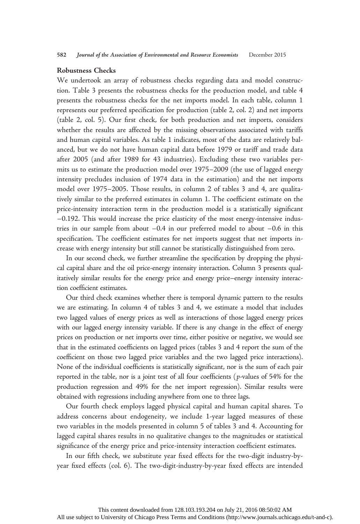### Robustness Checks

We undertook an array of robustness checks regarding data and model construction. Table 3 presents the robustness checks for the production model, and table 4 presents the robustness checks for the net imports model. In each table, column 1 represents our preferred specification for production (table 2, col. 2) and net imports (table 2, col. 5). Our first check, for both production and net imports, considers whether the results are affected by the missing observations associated with tariffs and human capital variables. As table 1 indicates, most of the data are relatively balanced, but we do not have human capital data before 1979 or tariff and trade data after 2005 (and after 1989 for 43 industries). Excluding these two variables permits us to estimate the production model over 1975–2009 (the use of lagged energy intensity precludes inclusion of 1974 data in the estimation) and the net imports model over 1975–2005. Those results, in column 2 of tables 3 and 4, are qualitatively similar to the preferred estimates in column 1. The coefficient estimate on the price-intensity interaction term in the production model is a statistically significant −0.192. This would increase the price elasticity of the most energy-intensive industries in our sample from about −0.4 in our preferred model to about −0.6 in this specification. The coefficient estimates for net imports suggest that net imports increase with energy intensity but still cannot be statistically distinguished from zero.

In our second check, we further streamline the specification by dropping the physical capital share and the oil price-energy intensity interaction. Column 3 presents qualitatively similar results for the energy price and energy price–energy intensity interaction coefficient estimates.

Our third check examines whether there is temporal dynamic pattern to the results we are estimating. In column 4 of tables 3 and 4, we estimate a model that includes two lagged values of energy prices as well as interactions of those lagged energy prices with our lagged energy intensity variable. If there is any change in the effect of energy prices on production or net imports over time, either positive or negative, we would see that in the estimated coefficients on lagged prices (tables 3 and 4 report the sum of the coefficient on those two lagged price variables and the two lagged price interactions). None of the individual coefficients is statistically significant, nor is the sum of each pair reported in the table, nor is a joint test of all four coefficients (p-values of 54% for the production regression and 49% for the net import regression). Similar results were obtained with regressions including anywhere from one to three lags.

Our fourth check employs lagged physical capital and human capital shares. To address concerns about endogeneity, we include 1-year lagged measures of these two variables in the models presented in column 5 of tables 3 and 4. Accounting for lagged capital shares results in no qualitative changes to the magnitudes or statistical significance of the energy price and price-intensity interaction coefficient estimates.

In our fifth check, we substitute year fixed effects for the two-digit industry-byyear fixed effects (col. 6). The two-digit-industry-by-year fixed effects are intended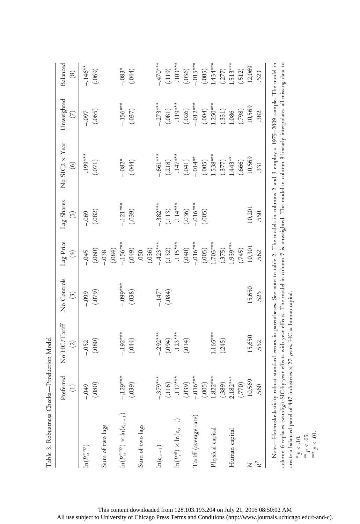| Table 3. Robustness Checks-Production Model                                                                                                                |                          |                               |                                          |                          |                                         |                                  |                          |                           |
|------------------------------------------------------------------------------------------------------------------------------------------------------------|--------------------------|-------------------------------|------------------------------------------|--------------------------|-----------------------------------------|----------------------------------|--------------------------|---------------------------|
|                                                                                                                                                            | Preferred<br>$\bigoplus$ | No HC/Tariff<br>$\widehat{c}$ | No Controls<br>$\widetilde{\mathcal{L}}$ | Lag Price<br>$\bigoplus$ | Lag Shares<br>$\widetilde{\mathcal{O}}$ | No SIC2 x Year<br>$\circledcirc$ | Unweighted<br>$\bigcirc$ | Balanced<br>$\circledast$ |
| $\ln(P_{i,t}^{env})$                                                                                                                                       | $-0.049$                 | $-.052$                       | $-0.099$                                 | .045                     | $-.069$                                 | $.199***$                        | $-0.097$                 | $-.146**$                 |
|                                                                                                                                                            | (.080)                   | (.080)                        | (079)                                    | (.060)                   | (.082)                                  | (071)                            | (.065)                   | (.069)                    |
| Sum of two lags                                                                                                                                            |                          |                               |                                          | (.084)<br>.038           |                                         |                                  |                          |                           |
| $\ln(P_{i,t}^{\text{energy}}) \times \ln(e_{i,t-1})$                                                                                                       | $-.129***$               | $-.192***$                    | $-0.09$ ***                              | $-156***$                | $-.121***$                              | $-0.082*$                        | $-.156***$               | $-.083*$                  |
|                                                                                                                                                            | (.039)                   | (.044)                        | (0.38)                                   | $(0 + 0)$                | (650)                                   | (044)                            | (0.037)                  | (.044)                    |
| Sum of two lags                                                                                                                                            |                          |                               |                                          | (036)<br>.050            |                                         |                                  |                          |                           |
| $\ln\!\left(e_{i,t-1}\right)$                                                                                                                              | $-.379***$               | $-.292***$                    | $-147*$                                  | $-.423***$               | $-.382***$                              | $-.661***$                       | $-.273***$               | $-470$ ***                |
|                                                                                                                                                            | (.116)                   | (1094)                        | (.084)                                   | (.132)                   | (.113)                                  | (.218)                           | (.081)                   | (.119)                    |
| $\ln(P_t^{\circ d}) \times \ln(e_{i,t-1})$                                                                                                                 | $.117***$                | $.123***$                     |                                          | $.115***$                | $.114***$                               | $.147***$                        | $.119***$                | $.103***$                 |
|                                                                                                                                                            | (.039)                   | (.034)                        |                                          | (040)                    | (0.036)                                 | (041)                            | (.026)                   | (.036)                    |
| Tariff (average rate)                                                                                                                                      | $-0.016**$               |                               |                                          | $-.016***$               | $-.016***$                              | $-0.014**$                       | $-.012***$               | $-.015***$                |
|                                                                                                                                                            | (.005)                   |                               |                                          | (.005)                   | (.005)                                  | (.005)                           | (.004)                   | (.005)                    |
| Physical capital                                                                                                                                           | $1.822***$               | $1.165***$                    |                                          | $.703***$                |                                         | $.538***$                        | $1.250***$               | $1.434***$                |
|                                                                                                                                                            | (.389)                   | (.245)                        |                                          | (.375)                   |                                         | (377)                            | (331)                    | (277)                     |
| Human capital                                                                                                                                              | $2.182***$               |                               |                                          | $0.939***$               |                                         | $1.443**$                        | 1.086                    | $1.513***$                |
|                                                                                                                                                            | (770)                    |                               |                                          | (745)                    |                                         | (.666)                           | (798)                    | (.512)                    |
| Z                                                                                                                                                          | 10,569                   | 15,650                        | 15,650                                   | 10,301                   | 10,201                                  | 10,569                           | 10,569                   | 12,069                    |
| $\rm R^2$                                                                                                                                                  | .560                     | 552                           | 525                                      | 562                      | 550                                     | 331                              | 382                      | 523                       |
| Note.—Heteroskedasticity robust standard errors in parentheses. See note to table 2. The models in columns 2 and 3 employ a 1975-2009 sample. The model in |                          |                               |                                          |                          |                                         |                                  |                          |                           |

column 6 replaces two-digit-SIC-by-year effects with year effects. The model in column 7 is unweighted. The model in column 8 linearly interpolates all missing data to ą. Ļ. j. create a balanced panel of 447 industries  $\times$  27 years. HC = human capital.  $* p < 10.$ 

\*\*  $p < .05$ .<br>\*\*\*  $p < .01$ .

This content downloaded from 128.103.193.204 on July 21, 2016 08:50:02 AM All use subject to University of Chicago Press Terms and Conditions (http://www.journals.uchicago.edu/t-and-c).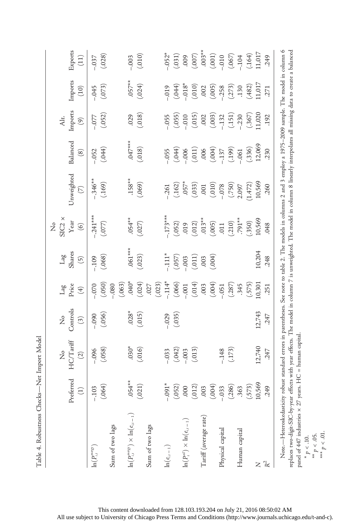|                                                                                                                                                                                                                                                                                                                                                                                                                          | Preferred<br>$\bigoplus$ | No $H C/T$ ariff<br>$\widehat{(\mathcal{Z})}$ | Controls<br>ż<br>$\left( \mathfrak{Z}\right)$ | Price<br>Lag<br>$\bigoplus$ | Shares<br>Tag<br>$\widetilde{(\mathfrak{H})}$ | $\begin{array}{c}\text{SIC2}\xspace\ensuremath{\times}\\\text{Year}\xspace\end{array}$<br>ż<br>$\odot$ | Unweighted<br>$\odot$           | Balanced<br>$\circledS$ | Imports<br>Alt.<br>$\circledcirc$ | Imports<br>(10)     | Exports<br>(11)    |
|--------------------------------------------------------------------------------------------------------------------------------------------------------------------------------------------------------------------------------------------------------------------------------------------------------------------------------------------------------------------------------------------------------------------------|--------------------------|-----------------------------------------------|-----------------------------------------------|-----------------------------|-----------------------------------------------|--------------------------------------------------------------------------------------------------------|---------------------------------|-------------------------|-----------------------------------|---------------------|--------------------|
| $\ln(P_{i,t}^{energy})$                                                                                                                                                                                                                                                                                                                                                                                                  | (.064)<br>$-.103$        | (.058)<br>$-0.096$                            | (.056)<br>$-0.090$                            | (.050)<br>070               | (.068)<br>.109                                | $-.241***$<br>(577)                                                                                    | $-.346**$<br>(169)              | (0.44)<br>$-052$        | (.052)<br>$-077$                  | (073)<br>$-0.45$    | (.028)<br>$-0.037$ |
| $\ln(P_{i,t}^{energy}) \times \ln(e_{i,t-1})$<br>Sum of two lags                                                                                                                                                                                                                                                                                                                                                         | $.054***$                |                                               | $.028*$                                       | (.063)<br>$-.080$           | $.061***$                                     | $.054***$                                                                                              | $.158**$                        | $.047***$               |                                   |                     |                    |
|                                                                                                                                                                                                                                                                                                                                                                                                                          | (.021)                   | (016)                                         | (.015)                                        | (0.024)                     | (023)                                         | (027)                                                                                                  | (.069)                          | (.018)                  | (0.018)                           | $(1057**$           | $(-010)$           |
| Sum of two lags                                                                                                                                                                                                                                                                                                                                                                                                          |                          |                                               |                                               | (.023)<br>.027              |                                               |                                                                                                        |                                 |                         |                                   |                     |                    |
| $\ln\!\left(e_{\scriptscriptstyle i,\scriptscriptstyle \ell-1}\right)$                                                                                                                                                                                                                                                                                                                                                   | $*160 -$                 | $-.033$                                       | $-0.029$                                      | $-.114*$                    | $-111*$                                       | $.173***$                                                                                              | $-261$                          | $-0.055$                | $-0.055$                          | $-0.019$            | $-0.052*$          |
| $\ln(P^{\text{\tiny{off}}}_{\text{\tiny{f}}}) \times \ln(e_{i,\iota-1})$                                                                                                                                                                                                                                                                                                                                                 | (.052)<br>000            | (.042)<br>$-.003$                             | (.035)                                        | (.066)<br>$-.001$           | (0.057)                                       | (052)<br>019                                                                                           | $(.162)$<br>$.057*$<br>$(.033)$ | $(-104)$<br>$-0.06$     | (.055)<br>$010 -$                 | $-0.018*$<br>(0.44) |                    |
|                                                                                                                                                                                                                                                                                                                                                                                                                          | (.012)                   | (.013)                                        |                                               | (.014)                      |                                               | (.012)                                                                                                 |                                 | (.011)                  | (.015)                            | (.010)              |                    |
| Tariff (average rate)                                                                                                                                                                                                                                                                                                                                                                                                    | .003                     |                                               |                                               | .003                        | $(0.01)$<br>$(0.00, 0.00)$                    | $013**$                                                                                                | (010)                           | (0.004)                 | (000)                             | .002                |                    |
|                                                                                                                                                                                                                                                                                                                                                                                                                          | (.004)                   |                                               |                                               | (.004)                      |                                               | (.005)                                                                                                 |                                 |                         |                                   | $(.005)$<br>$-.258$ |                    |
| Physical capital                                                                                                                                                                                                                                                                                                                                                                                                         | (.286)<br>$-.033$        | (.173)<br>$-.148$                             |                                               | (.287)<br>$-0.051$          |                                               | (210)<br>.011                                                                                          | (052')                          | $-137$<br>(.199)        | (.151)<br>$-132$                  | (273)               |                    |
| Human capital                                                                                                                                                                                                                                                                                                                                                                                                            | .363                     |                                               |                                               | .345                        |                                               | $.791**$                                                                                               | 2.097                           | $-061$                  | $-0.230$                          | .130                |                    |
|                                                                                                                                                                                                                                                                                                                                                                                                                          | (573)                    |                                               |                                               | (.575)                      |                                               | (350)                                                                                                  | 1.472)                          | (.336)                  | (.367)                            | (.482)              |                    |
| $\geq$                                                                                                                                                                                                                                                                                                                                                                                                                   | 10,569                   | 12,740                                        | 12,743                                        | 10,301                      | 10,204                                        | 10,569                                                                                                 | 10,569                          | 12,069                  | .1,020                            | 1,017               |                    |
| $\mathbb{R}^2$                                                                                                                                                                                                                                                                                                                                                                                                           | <b>349</b>               | 247                                           | .247                                          | 251                         | 248                                           | 048                                                                                                    | .260                            | .230                    | 192                               | 271                 | 249                |
| Note.—Heteroskedasticity robust standard errors in parentheses. See note to table 2. The models in columns 2 and 3 employ a 1975–2009 sample. The model in column 6<br>replaces two-digit-SIC-by-year effects with year effects. The model in column 7 is unweighted. The model in column 8 linearly interpolates all missing data to create a balanced<br>panel of 447 industries $\times$ 27 years. HC = human capital |                          |                                               |                                               |                             |                                               |                                                                                                        |                                 |                         |                                   |                     |                    |

Table 4. Robustness Checks-Net Import Model Table 4. Robustness Checks—Net Import Model

\*  $p < .10$ .<br>\*\*  $p < .05$ .<br>\*\*\*  $p < .01$ .

This content downloaded from 128.103.193.204 on July 21, 2016 08:50:02 AM All use subject to University of Chicago Press Terms and Conditions (http://www.journals.uchicago.edu/t-and-c).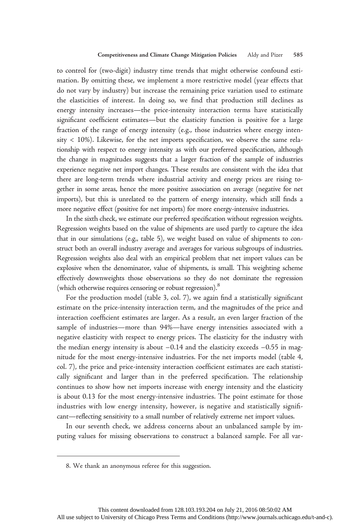to control for (two-digit) industry time trends that might otherwise confound estimation. By omitting these, we implement a more restrictive model (year effects that do not vary by industry) but increase the remaining price variation used to estimate the elasticities of interest. In doing so, we find that production still declines as energy intensity increases—the price-intensity interaction terms have statistically significant coefficient estimates—but the elasticity function is positive for a large fraction of the range of energy intensity (e.g., those industries where energy intensity < 10%). Likewise, for the net imports specification, we observe the same relationship with respect to energy intensity as with our preferred specification, although the change in magnitudes suggests that a larger fraction of the sample of industries experience negative net import changes. These results are consistent with the idea that there are long-term trends where industrial activity and energy prices are rising together in some areas, hence the more positive association on average (negative for net imports), but this is unrelated to the pattern of energy intensity, which still finds a more negative effect (positive for net imports) for more energy-intensive industries.

In the sixth check, we estimate our preferred specification without regression weights. Regression weights based on the value of shipments are used partly to capture the idea that in our simulations (e.g., table 5), we weight based on value of shipments to construct both an overall industry average and averages for various subgroups of industries. Regression weights also deal with an empirical problem that net import values can be explosive when the denominator, value of shipments, is small. This weighting scheme effectively downweights those observations so they do not dominate the regression (which otherwise requires censoring or robust regression).<sup>8</sup>

For the production model (table 3, col. 7), we again find a statistically significant estimate on the price-intensity interaction term, and the magnitudes of the price and interaction coefficient estimates are larger. As a result, an even larger fraction of the sample of industries—more than 94%—have energy intensities associated with a negative elasticity with respect to energy prices. The elasticity for the industry with the median energy intensity is about −0.14 and the elasticity exceeds −0.55 in magnitude for the most energy-intensive industries. For the net imports model (table 4, col. 7), the price and price-intensity interaction coefficient estimates are each statistically significant and larger than in the preferred specification. The relationship continues to show how net imports increase with energy intensity and the elasticity is about 0.13 for the most energy-intensive industries. The point estimate for those industries with low energy intensity, however, is negative and statistically significant—reflecting sensitivity to a small number of relatively extreme net import values.

In our seventh check, we address concerns about an unbalanced sample by imputing values for missing observations to construct a balanced sample. For all var-

<sup>8.</sup> We thank an anonymous referee for this suggestion.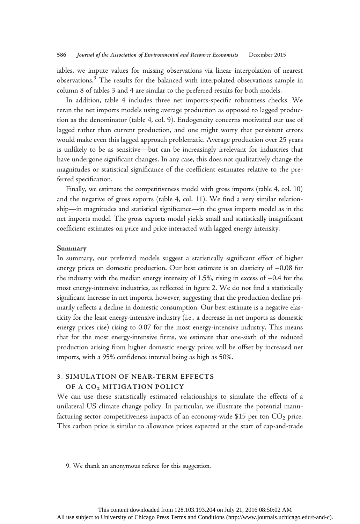iables, we impute values for missing observations via linear interpolation of nearest observations.9 The results for the balanced with interpolated observations sample in column 8 of tables 3 and 4 are similar to the preferred results for both models.

In addition, table 4 includes three net imports-specific robustness checks. We reran the net imports models using average production as opposed to lagged production as the denominator (table 4, col. 9). Endogeneity concerns motivated our use of lagged rather than current production, and one might worry that persistent errors would make even this lagged approach problematic. Average production over 25 years is unlikely to be as sensitive—but can be increasingly irrelevant for industries that have undergone significant changes. In any case, this does not qualitatively change the magnitudes or statistical significance of the coefficient estimates relative to the preferred specification.

Finally, we estimate the competitiveness model with gross imports (table 4, col. 10) and the negative of gross exports (table 4, col. 11). We find a very similar relationship—in magnitudes and statistical significance—in the gross imports model as in the net imports model. The gross exports model yields small and statistically insignificant coefficient estimates on price and price interacted with lagged energy intensity.

### Summary

In summary, our preferred models suggest a statistically significant effect of higher energy prices on domestic production. Our best estimate is an elasticity of −0.08 for the industry with the median energy intensity of 1.5%, rising in excess of −0.4 for the most energy-intensive industries, as reflected in figure 2. We do not find a statistically significant increase in net imports, however, suggesting that the production decline primarily reflects a decline in domestic consumption. Our best estimate is a negative elasticity for the least energy-intensive industry (i.e., a decrease in net imports as domestic energy prices rise) rising to 0.07 for the most energy-intensive industry. This means that for the most energy-intensive firms, we estimate that one-sixth of the reduced production arising from higher domestic energy prices will be offset by increased net imports, with a 95% confidence interval being as high as 50%.

# 3. SIMULATION OF NEAR-TERM EFFECTS OF A CO<sub>2</sub> MITIGATION POLICY

We can use these statistically estimated relationships to simulate the effects of a unilateral US climate change policy. In particular, we illustrate the potential manufacturing sector competitiveness impacts of an economy-wide \$15 per ton  $CO<sub>2</sub>$  price. This carbon price is similar to allowance prices expected at the start of cap-and-trade

<sup>9.</sup> We thank an anonymous referee for this suggestion.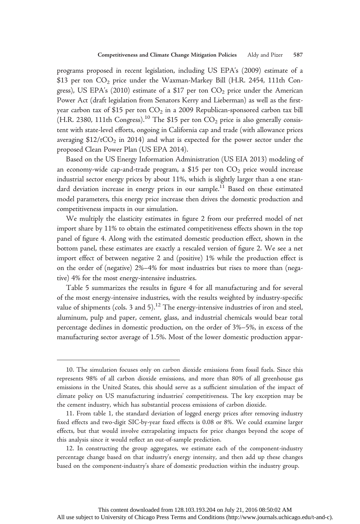programs proposed in recent legislation, including US EPA's (2009) estimate of a \$13 per ton  $CO_2$  price under the Waxman-Markey Bill (H.R. 2454, 111th Congress), US EPA's (2010) estimate of a \$17 per ton  $CO<sub>2</sub>$  price under the American Power Act (draft legislation from Senators Kerry and Lieberman) as well as the firstyear carbon tax of \$15 per ton  $CO<sub>2</sub>$  in a 2009 Republican-sponsored carbon tax bill (H.R. 2380, 111th Congress).<sup>10</sup> The \$15 per ton  $CO_2$  price is also generally consistent with state-level efforts, ongoing in California cap and trade (with allowance prices averaging  $$12/tCO<sub>2</sub>$  in 2014) and what is expected for the power sector under the proposed Clean Power Plan (US EPA 2014).

Based on the US Energy Information Administration (US EIA 2013) modeling of an economy-wide cap-and-trade program, a \$15 per ton  $CO<sub>2</sub>$  price would increase industrial sector energy prices by about 11%, which is slightly larger than a one standard deviation increase in energy prices in our sample.<sup>11</sup> Based on these estimated model parameters, this energy price increase then drives the domestic production and competitiveness impacts in our simulation.

We multiply the elasticity estimates in figure 2 from our preferred model of net import share by 11% to obtain the estimated competitiveness effects shown in the top panel of figure 4. Along with the estimated domestic production effect, shown in the bottom panel, these estimates are exactly a rescaled version of figure 2. We see a net import effect of between negative 2 and (positive) 1% while the production effect is on the order of (negative) 2%–4% for most industries but rises to more than (negative) 4% for the most energy-intensive industries.

Table 5 summarizes the results in figure 4 for all manufacturing and for several of the most energy-intensive industries, with the results weighted by industry-specific value of shipments (cols. 3 and 5).<sup>12</sup> The energy-intensive industries of iron and steel, aluminum, pulp and paper, cement, glass, and industrial chemicals would bear total percentage declines in domestic production, on the order of 3%–5%, in excess of the manufacturing sector average of 1.5%. Most of the lower domestic production appar-

<sup>10.</sup> The simulation focuses only on carbon dioxide emissions from fossil fuels. Since this represents 98% of all carbon dioxide emissions, and more than 80% of all greenhouse gas emissions in the United States, this should serve as a sufficient simulation of the impact of climate policy on US manufacturing industries' competitiveness. The key exception may be the cement industry, which has substantial process emissions of carbon dioxide.

<sup>11.</sup> From table 1, the standard deviation of logged energy prices after removing industry fixed effects and two-digit SIC-by-year fixed effects is 0.08 or 8%. We could examine larger effects, but that would involve extrapolating impacts for price changes beyond the scope of this analysis since it would reflect an out-of-sample prediction.

<sup>12.</sup> In constructing the group aggregates, we estimate each of the component-industry percentage change based on that industry's energy intensity, and then add up these changes based on the component-industry's share of domestic production within the industry group.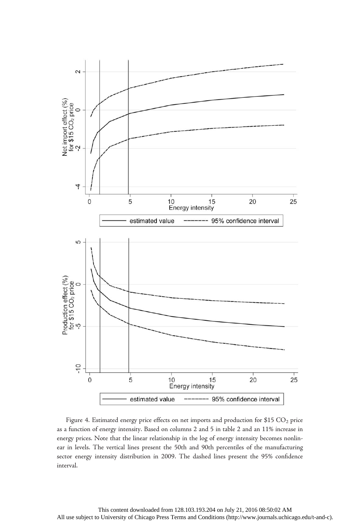

Figure 4. Estimated energy price effects on net imports and production for \$15  $CO<sub>2</sub>$  price as a function of energy intensity. Based on columns 2 and 5 in table 2 and an 11% increase in energy prices. Note that the linear relationship in the log of energy intensity becomes nonlinear in levels. The vertical lines present the 50th and 90th percentiles of the manufacturing sector energy intensity distribution in 2009. The dashed lines present the 95% confidence interval.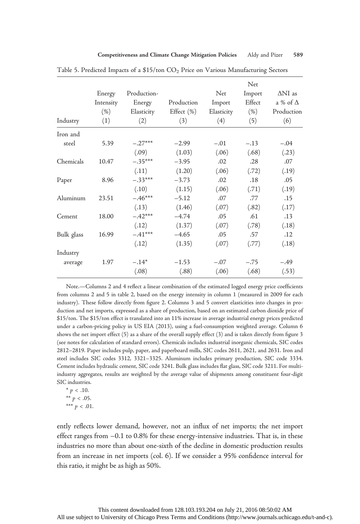| Industry   | Energy<br>Intensity<br>$(\% )$<br>(1) | Production-<br>Energy<br>Elasticity<br>(2) | Production<br>Effect (%)<br>(3) | Net<br>Import<br>Elasticity<br>(4) | Net<br>Import<br>Effect<br>$(\% )$<br>(5) | $\Delta NI$ as<br>a % of $\Delta$<br>Production<br>(6) |
|------------|---------------------------------------|--------------------------------------------|---------------------------------|------------------------------------|-------------------------------------------|--------------------------------------------------------|
| Iron and   |                                       |                                            |                                 |                                    |                                           |                                                        |
| steel      | 5.39                                  | $-.27***$                                  | $-2.99$                         | $-.01$                             | $-.13$                                    | $-.04$                                                 |
|            |                                       | (.09)                                      | (1.03)                          | (.06)                              | (.68)                                     | (.23)                                                  |
| Chemicals  | 10.47                                 | $-.35***$                                  | $-3.95$                         | .02                                | .28                                       | .07                                                    |
|            |                                       | (.11)                                      | (1.20)                          | (.06)                              | (.72)                                     | (.19)                                                  |
| Paper      | 8.96                                  | $-.33***$                                  | $-3.73$                         | .02                                | .18                                       | .05                                                    |
|            |                                       | (.10)                                      | (1.15)                          | (.06)                              | (.71)                                     | (.19)                                                  |
| Aluminum   | 23.51                                 | $-.46***$                                  | $-5.12$                         | .07                                | .77                                       | .15                                                    |
|            |                                       | (.13)                                      | (1.46)                          | (.07)                              | (.82)                                     | (.17)                                                  |
| Cement     | 18.00                                 | $-.42***$                                  | $-4.74$                         | .05                                | .61                                       | .13                                                    |
|            |                                       | (.12)                                      | (1.37)                          | (.07)                              | (.78)                                     | (.18)                                                  |
| Bulk glass | 16.99                                 | $-.41***$                                  | $-4.65$                         | .05                                | .57                                       | .12                                                    |
|            |                                       | (.12)                                      | (1.35)                          | (.07)                              | (.77)                                     | (.18)                                                  |
| Industry   |                                       |                                            |                                 |                                    |                                           |                                                        |
| average    | 1.97                                  | $-.14*$                                    | $-1.53$                         | $-.07$                             | $-.75$                                    | $-.49$                                                 |
|            |                                       | (.08)                                      | (.88)                           | (.06)                              | (.68)                                     | (.53)                                                  |

Table 5. Predicted Impacts of a  $$15/t$ on  $CO<sub>2</sub>$  Price on Various Manufacturing Sectors

Note.—Columns 2 and 4 reflect a linear combination of the estimated logged energy price coefficients from columns 2 and 5 in table 2, based on the energy intensity in column 1 (measured in 2009 for each industry). These follow directly from figure 2. Columns 3 and 5 convert elasticities into changes in production and net imports, expressed as a share of production, based on an estimated carbon dioxide price of \$15/ton. The \$15/ton effect is translated into an 11% increase in average industrial energy prices predicted under a carbon-pricing policy in US EIA (2013), using a fuel-consumption weighted average. Column 6 shows the net import effect (5) as a share of the overall supply effect (3) and is taken directly from figure 3 (see notes for calculation of standard errors). Chemicals includes industrial inorganic chemicals, SIC codes 2812–2819. Paper includes pulp, paper, and paperboard mills, SIC codes 2611, 2621, and 2631. Iron and steel includes SIC codes 3312, 3321–3325. Aluminum includes primary production, SIC code 3334. Cement includes hydraulic cement, SIC code 3241. Bulk glass includes flat glass, SIC code 3211. For multiindustry aggregates, results are weighted by the average value of shipments among constituent four-digit SIC industries.

\*  $p < .10$ . \*\*  $p < .05$ . \*\*\*  $p < .01$ .

ently reflects lower demand, however, not an influx of net imports; the net import effect ranges from −0.1 to 0.8% for these energy-intensive industries. That is, in these industries no more than about one-sixth of the decline in domestic production results from an increase in net imports (col. 6). If we consider a 95% confidence interval for this ratio, it might be as high as 50%.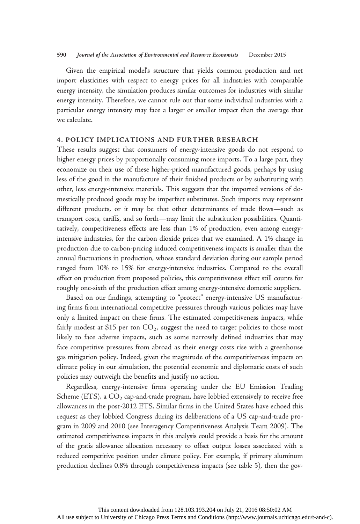#### 590 Journal of the Association of Environmental and Resource Economists December 2015

Given the empirical model's structure that yields common production and net import elasticities with respect to energy prices for all industries with comparable energy intensity, the simulation produces similar outcomes for industries with similar energy intensity. Therefore, we cannot rule out that some individual industries with a particular energy intensity may face a larger or smaller impact than the average that we calculate.

# 4. POLICY IMPLICATIONS AND FURTHER RESEARCH

These results suggest that consumers of energy-intensive goods do not respond to higher energy prices by proportionally consuming more imports. To a large part, they economize on their use of these higher-priced manufactured goods, perhaps by using less of the good in the manufacture of their finished products or by substituting with other, less energy-intensive materials. This suggests that the imported versions of domestically produced goods may be imperfect substitutes. Such imports may represent different products, or it may be that other determinants of trade flows—such as transport costs, tariffs, and so forth—may limit the substitution possibilities. Quantitatively, competitiveness effects are less than 1% of production, even among energyintensive industries, for the carbon dioxide prices that we examined. A 1% change in production due to carbon-pricing induced competitiveness impacts is smaller than the annual fluctuations in production, whose standard deviation during our sample period ranged from 10% to 15% for energy-intensive industries. Compared to the overall effect on production from proposed policies, this competitiveness effect still counts for roughly one-sixth of the production effect among energy-intensive domestic suppliers.

Based on our findings, attempting to "protect" energy-intensive US manufacturing firms from international competitive pressures through various policies may have only a limited impact on these firms. The estimated competitiveness impacts, while fairly modest at \$15 per ton  $CO<sub>2</sub>$ , suggest the need to target policies to those most likely to face adverse impacts, such as some narrowly defined industries that may face competitive pressures from abroad as their energy costs rise with a greenhouse gas mitigation policy. Indeed, given the magnitude of the competitiveness impacts on climate policy in our simulation, the potential economic and diplomatic costs of such policies may outweigh the benefits and justify no action.

Regardless, energy-intensive firms operating under the EU Emission Trading Scheme (ETS), a  $CO<sub>2</sub>$  cap-and-trade program, have lobbied extensively to receive free allowances in the post-2012 ETS. Similar firms in the United States have echoed this request as they lobbied Congress during its deliberations of a US cap-and-trade program in 2009 and 2010 (see Interagency Competitiveness Analysis Team 2009). The estimated competitiveness impacts in this analysis could provide a basis for the amount of the gratis allowance allocation necessary to offset output losses associated with a reduced competitive position under climate policy. For example, if primary aluminum production declines 0.8% through competitiveness impacts (see table 5), then the gov-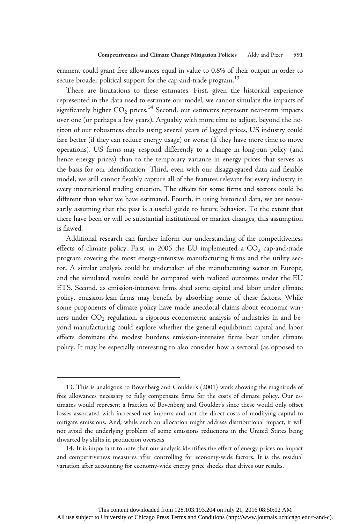ernment could grant free allowances equal in value to 0.8% of their output in order to secure broader political support for the cap-and-trade program.<sup>13</sup>

There are limitations to these estimates. First, given the historical experience represented in the data used to estimate our model, we cannot simulate the impacts of significantly higher  $CO_2$  prices.<sup>14</sup> Second, our estimates represent near-term impacts over one (or perhaps a few years). Arguably with more time to adjust, beyond the horizon of our robustness checks using several years of lagged prices, US industry could fare better (if they can reduce energy usage) or worse (if they have more time to move operations). US firms may respond differently to a change in long-run policy (and hence energy prices) than to the temporary variance in energy prices that serves as the basis for our identification. Third, even with our disaggregated data and flexible model, we still cannot flexibly capture all of the features relevant for every industry in every international trading situation. The effects for some firms and sectors could be different than what we have estimated. Fourth, in using historical data, we are necessarily assuming that the past is a useful guide to future behavior. To the extent that there have been or will be substantial institutional or market changes, this assumption is flawed.

Additional research can further inform our understanding of the competitiveness effects of climate policy. First, in 2005 the EU implemented a  $CO<sub>2</sub>$  cap-and-trade program covering the most energy-intensive manufacturing firms and the utility sector. A similar analysis could be undertaken of the manufacturing sector in Europe, and the simulated results could be compared with realized outcomes under the EU ETS. Second, as emission-intensive firms shed some capital and labor under climate policy, emission-lean firms may benefit by absorbing some of these factors. While some proponents of climate policy have made anecdotal claims about economic winners under  $CO<sub>2</sub>$  regulation, a rigorous econometric analysis of industries in and beyond manufacturing could explore whether the general equilibrium capital and labor effects dominate the modest burdens emission-intensive firms bear under climate policy. It may be especially interesting to also consider how a sectoral (as opposed to

<sup>13.</sup> This is analogous to Bovenberg and Goulder's (2001) work showing the magnitude of free allowances necessary to fully compensate firms for the costs of climate policy. Our estimates would represent a fraction of Bovenberg and Goulder's since these would only offset losses associated with increased net imports and not the direct costs of modifying capital to mitigate emissions. And, while such an allocation might address distributional impact, it will not avoid the underlying problem of some emissions reductions in the United States being thwarted by shifts in production overseas.

<sup>14.</sup> It is important to note that our analysis identifies the effect of energy prices on impact and competitiveness measures after controlling for economy-wide factors. It is the residual variation after accounting for economy-wide energy price shocks that drives our results.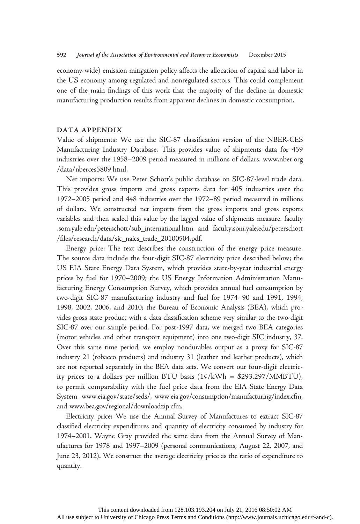economy-wide) emission mitigation policy affects the allocation of capital and labor in the US economy among regulated and nonregulated sectors. This could complement one of the main findings of this work that the majority of the decline in domestic manufacturing production results from apparent declines in domestic consumption.

### DATA APPENDIX

Value of shipments: We use the SIC-87 classification version of the NBER-CES Manufacturing Industry Database. This provides value of shipments data for 459 industries over the 1958–2009 period measured in millions of dollars. www.nber.org /data/nberces5809.html.

Net imports: We use Peter Schott's public database on SIC-87-level trade data. This provides gross imports and gross exports data for 405 industries over the 1972–2005 period and 448 industries over the 1972–89 period measured in millions of dollars. We constructed net imports from the gross imports and gross exports variables and then scaled this value by the lagged value of shipments measure. faculty .som.yale.edu/peterschott/sub\_international.htm and faculty.som.yale.edu/peterschott /files/research/data/sic\_naics\_trade\_20100504.pdf.

Energy price: The text describes the construction of the energy price measure. The source data include the four-digit SIC-87 electricity price described below; the US EIA State Energy Data System, which provides state-by-year industrial energy prices by fuel for 1970–2009; the US Energy Information Administration Manufacturing Energy Consumption Survey, which provides annual fuel consumption by two-digit SIC-87 manufacturing industry and fuel for 1974–90 and 1991, 1994, 1998, 2002, 2006, and 2010; the Bureau of Economic Analysis (BEA), which provides gross state product with a data classification scheme very similar to the two-digit SIC-87 over our sample period. For post-1997 data, we merged two BEA categories (motor vehicles and other transport equipment) into one two-digit SIC industry, 37. Over this same time period, we employ nondurables output as a proxy for SIC-87 industry 21 (tobacco products) and industry 31 (leather and leather products), which are not reported separately in the BEA data sets. We convert our four-digit electricity prices to a dollars per million BTU basis  $(14/kWh = $293.297/MMBTU)$ , to permit comparability with the fuel price data from the EIA State Energy Data System. www.eia.gov/state/seds/, www.eia.gov/consumption/manufacturing/index.cfm, and www.bea.gov/regional/downloadzip.cfm.

Electricity price: We use the Annual Survey of Manufactures to extract SIC-87 classified electricity expenditures and quantity of electricity consumed by industry for 1974–2001. Wayne Gray provided the same data from the Annual Survey of Manufactures for 1978 and 1997–2009 (personal communications, August 22, 2007, and June 23, 2012). We construct the average electricity price as the ratio of expenditure to quantity.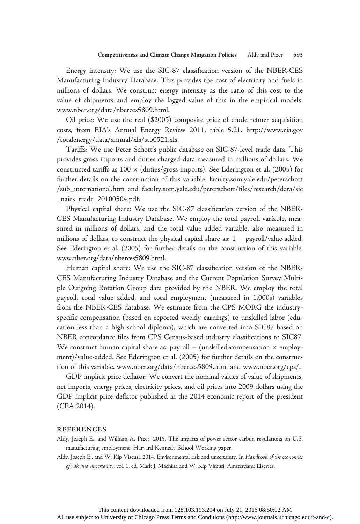Energy intensity: We use the SIC-87 classification version of the NBER-CES Manufacturing Industry Database. This provides the cost of electricity and fuels in millions of dollars. We construct energy intensity as the ratio of this cost to the value of shipments and employ the lagged value of this in the empirical models. www.nber.org/data/nberces5809.html.

Oil price: We use the real (\$2005) composite price of crude refiner acquisition costs, from EIA's Annual Energy Review 2011, table 5.21. http://www.eia.gov /totalenergy/data/annual/xls/stb0521.xls.

Tariffs: We use Peter Schott's public database on SIC-87-level trade data. This provides gross imports and duties charged data measured in millions of dollars. We constructed tariffs as  $100 \times$  (duties/gross imports). See Ederington et al. (2005) for further details on the construction of this variable. faculty.som.yale.edu/peterschott /sub\_international.htm and faculty.som.yale.edu/peterschott/files/research/data/sic \_naics\_trade\_20100504.pdf.

Physical capital share: We use the SIC-87 classification version of the NBER-CES Manufacturing Industry Database. We employ the total payroll variable, measured in millions of dollars, and the total value added variable, also measured in millions of dollars, to construct the physical capital share as: 1 − payroll/value-added. See Ederington et al. (2005) for further details on the construction of this variable. www.nber.org/data/nberces5809.html.

Human capital share: We use the SIC-87 classification version of the NBER-CES Manufacturing Industry Database and the Current Population Survey Multiple Outgoing Rotation Group data provided by the NBER. We employ the total payroll, total value added, and total employment (measured in 1,000s) variables from the NBER-CES database. We estimate from the CPS MORG the industryspecific compensation (based on reported weekly earnings) to unskilled labor (education less than a high school diploma), which are converted into SIC87 based on NBER concordance files from CPS Census-based industry classifications to SIC87. We construct human capital share as: payroll  $-$  (unskilled-compensation  $\times$  employment)/value-added. See Ederington et al. (2005) for further details on the construction of this variable. www.nber.org/data/nberces5809.html and www.nber.org/cps/.

GDP implicit price deflator: We convert the nominal values of value of shipments, net imports, energy prices, electricity prices, and oil prices into 2009 dollars using the GDP implicit price deflator published in the 2014 economic report of the president (CEA 2014).

### REFERENCES

Aldy, Joseph E., and William A. Pizer. 2015. The impacts of power sector carbon regulations on U.S. manufacturing employment. Harvard Kennedy School Working paper.

Aldy, Joseph E., and W. Kip Viscusi. 2014. Environmental risk and uncertainty. In Handbook of the economics of risk and uncertainty, vol. 1, ed. Mark J. Machina and W. Kip Viscusi. Amsterdam: Elsevier.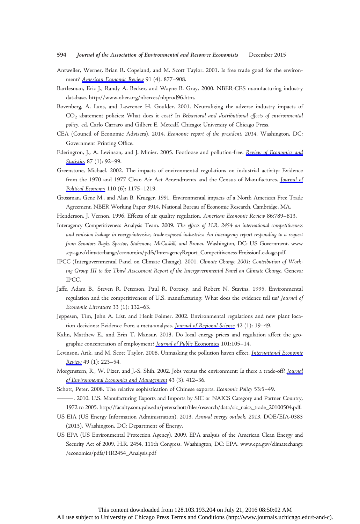#### 594 Journal of the Association of Environmental and Resource Economists December 2015

- Antweiler, Werner, Brian R. Copeland, and M. Scott Taylor. 2001. Is free trade good for the environ-ment? [American Economic Review](http://www.journals.uchicago.edu/action/showLinks?crossref=10.1257%2Faer.91.4.877) 91 (4): 877-908.
- Bartlesman, Eric J., Randy A. Becker, and Wayne B. Gray. 2000. NBER-CES manufacturing industry database. http://www.nber.org/nberces/nbprod96.htm.
- Bovenberg, A. Lans, and Lawrence H. Goulder. 2001. Neutralizing the adverse industry impacts of CO2 abatement policies: What does it cost? In Behavioral and distributional effects of environmental policy, ed. Carlo Carraro and Gilbert E. Metcalf. Chicago: University of Chicago Press.
- CEA (Council of Economic Advisers). 2014. Economic report of the president, 2014. Washington, DC: Government Printing Office.
- Ederington, J., A. Levinson, and J. Minier. 2005. Footloose and pollution-free. [Review of Economics and](http://www.journals.uchicago.edu/action/showLinks?crossref=10.1162%2F0034653053327658) [Statistics](http://www.journals.uchicago.edu/action/showLinks?crossref=10.1162%2F0034653053327658) 87 (1): 92-99.
- Greenstone, Michael. 2002. The impacts of environmental regulations on industrial activity: Evidence from the 1970 and 1977 Clean Air Act Amendments and the Census of Manufactures. [Journal of](http://www.journals.uchicago.edu/action/showLinks?system=10.1086%2F342808) [Political Economy](http://www.journals.uchicago.edu/action/showLinks?system=10.1086%2F342808) 110 (6): 1175–1219.
- Grossman, Gene M., and Alan B. Krueger. 1991. Environmental impacts of a North American Free Trade Agreement. NBER Working Paper 3914, National Bureau of Economic Research, Cambridge, MA.
- Henderson, J. Vernon. 1996. Effects of air quality regulation. American Economic Review 86:789–813.
- Interagency Competitiveness Analysis Team. 2009. The effects of H.R. 2454 on international competitiveness and emission leakage in energy-intensive, trade-exposed industries: An interagency report responding to a request from Senators Bayh, Spector, Stabenow, McCaskill, and Brown. Washington, DC: US Government. www .epa.gov/climatechange/economics/pdfs/InteragencyReport\_Competitiveness-EmissionLeakage.pdf.
- IPCC (Intergovernmental Panel on Climate Change). 2001. Climate Change 2001: Contribution of Working Group III to the Third Assessment Report of the Intergovernmental Panel on Climate Change. Geneva: IPCC.
- Jaffe, Adam B., Steven R. Peterson, Paul R. Portney, and Robert N. Stavins. 1995. Environmental regulation and the competitiveness of U.S. manufacturing: What does the evidence tell us? Journal of Economic Literature 33 (1): 132–63.
- Jeppesen, Tim, John A. List, and Henk Folmer. 2002. Environmental regulations and new plant loca-tion decisions: Evidence from a meta-analysis. [Journal of Regional Science](http://www.journals.uchicago.edu/action/showLinks?crossref=10.1111%2F1467-9787.00248) 42 (1): 19-49.
- Kahn, Matthew E., and Erin T. Mansur. 2013. Do local energy prices and regulation affect the geographic concentration of employment? *[Journal of Public](http://www.journals.uchicago.edu/action/showLinks?crossref=10.1016%2Fj.jpubeco.2013.03.002) Economics* 101:105-14.
- Levinson, Arik, and M. Scott Taylor. 2008. Unmasking the pollution haven effect. *[International Economic](http://www.journals.uchicago.edu/action/showLinks?crossref=10.1111%2Fj.1468-2354.2008.00478.x)* [Review](http://www.journals.uchicago.edu/action/showLinks?crossref=10.1111%2Fj.1468-2354.2008.00478.x) 49 (1): 223–54.
- Morgenstern, R., W. Pizer, and J.-S. Shih. 2002. Jobs versus the environment: Is there a trade-off? [Journal](http://www.journals.uchicago.edu/action/showLinks?crossref=10.1006%2Fjeem.2001.1191) [of Environmental Economics and Management](http://www.journals.uchicago.edu/action/showLinks?crossref=10.1006%2Fjeem.2001.1191) 43 (3): 412-36.
- Schott, Peter. 2008. The relative sophistication of Chinese exports. Economic Policy 53:5–49.
	- ———. 2010. U.S. Manufacturing Exports and Imports by SIC or NAICS Category and Partner Country, 1972 to 2005. http://faculty.som.yale.edu/peterschott/files/research/data/sic\_naics\_trade\_20100504.pdf.
- US EIA (US Energy Information Administration). 2013. Annual energy outlook, 2013. DOE/EIA-0383 (2013). Washington, DC: Department of Energy.
- US EPA (US Environmental Protection Agency). 2009. EPA analysis of the American Clean Energy and Security Act of 2009, H.R. 2454, 111th Congress. Washington, DC: EPA. www.epa.gov/climatechange /economics/pdfs/HR2454\_Analysis.pdf